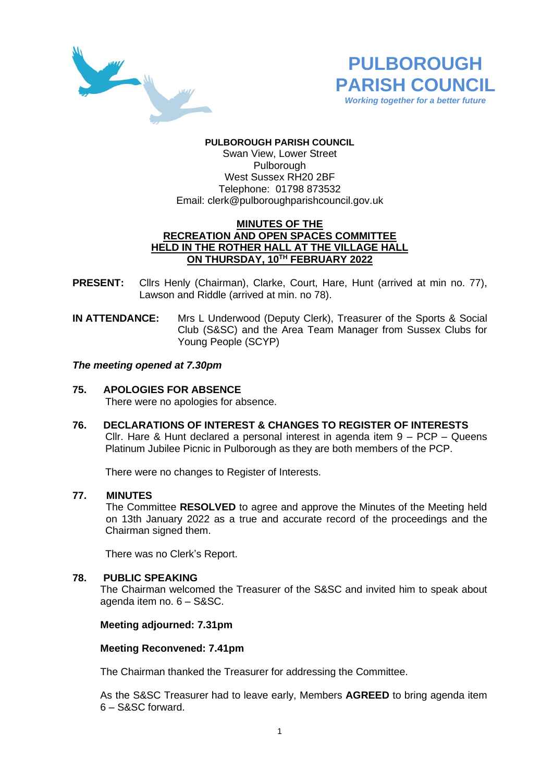



# **PULBOROUGH PARISH COUNCIL**

Swan View, Lower Street Pulborough West Sussex RH20 2BF Telephone: 01798 873532 Email: [clerk@pulboroughparishcouncil.gov.uk](mailto:clerk@pulboroughparishcouncil.gov.uk)

### **MINUTES OF THE RECREATION AND OPEN SPACES COMMITTEE HELD IN THE ROTHER HALL AT THE VILLAGE HALL ON THURSDAY, 10 TH FEBRUARY 2022**

- **PRESENT:** Cllrs Henly (Chairman), Clarke, Court, Hare, Hunt (arrived at min no. 77), Lawson and Riddle (arrived at min. no 78).
- **IN ATTENDANCE:** Mrs L Underwood (Deputy Clerk), Treasurer of the Sports & Social Club (S&SC) and the Area Team Manager from Sussex Clubs for Young People (SCYP)

### *The meeting opened at 7.30pm*

### **75. APOLOGIES FOR ABSENCE**

There were no apologies for absence.

**76. DECLARATIONS OF INTEREST & CHANGES TO REGISTER OF INTERESTS** Cllr. Hare & Hunt declared a personal interest in agenda item 9 – PCP – Queens Platinum Jubilee Picnic in Pulborough as they are both members of the PCP.

There were no changes to Register of Interests.

### **77. MINUTES**

The Committee **RESOLVED** to agree and approve the Minutes of the Meeting held on 13th January 2022 as a true and accurate record of the proceedings and the Chairman signed them.

There was no Clerk's Report.

### **78. PUBLIC SPEAKING**

The Chairman welcomed the Treasurer of the S&SC and invited him to speak about agenda item no. 6 – S&SC.

### **Meeting adjourned: 7.31pm**

### **Meeting Reconvened: 7.41pm**

The Chairman thanked the Treasurer for addressing the Committee.

As the S&SC Treasurer had to leave early, Members **AGREED** to bring agenda item 6 – S&SC forward.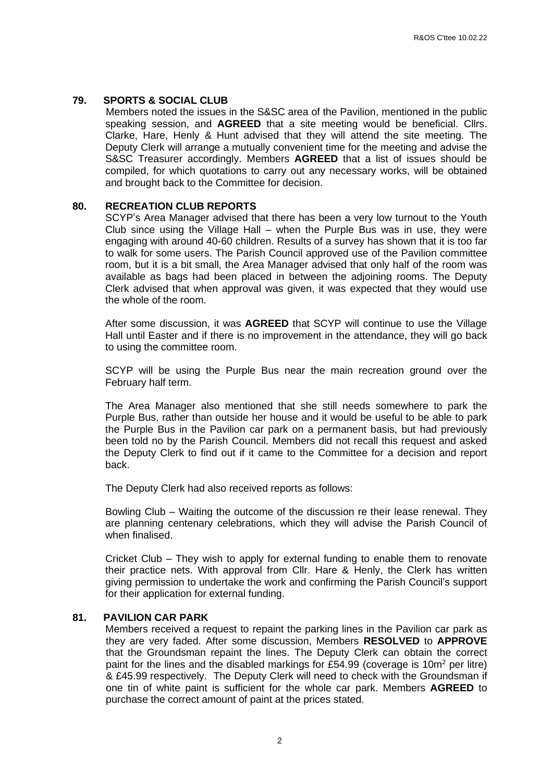# **79. SPORTS & SOCIAL CLUB**

Members noted the issues in the S&SC area of the Pavilion, mentioned in the public speaking session, and **AGREED** that a site meeting would be beneficial. Cllrs. Clarke, Hare, Henly & Hunt advised that they will attend the site meeting. The Deputy Clerk will arrange a mutually convenient time for the meeting and advise the S&SC Treasurer accordingly. Members **AGREED** that a list of issues should be compiled, for which quotations to carry out any necessary works, will be obtained and brought back to the Committee for decision.

### **80. RECREATION CLUB REPORTS**

SCYP's Area Manager advised that there has been a very low turnout to the Youth Club since using the Village Hall – when the Purple Bus was in use, they were engaging with around 40-60 children. Results of a survey has shown that it is too far to walk for some users. The Parish Council approved use of the Pavilion committee room, but it is a bit small, the Area Manager advised that only half of the room was available as bags had been placed in between the adjoining rooms. The Deputy Clerk advised that when approval was given, it was expected that they would use the whole of the room.

After some discussion, it was **AGREED** that SCYP will continue to use the Village Hall until Easter and if there is no improvement in the attendance, they will go back to using the committee room.

SCYP will be using the Purple Bus near the main recreation ground over the February half term.

The Area Manager also mentioned that she still needs somewhere to park the Purple Bus, rather than outside her house and it would be useful to be able to park the Purple Bus in the Pavilion car park on a permanent basis, but had previously been told no by the Parish Council. Members did not recall this request and asked the Deputy Clerk to find out if it came to the Committee for a decision and report back.

The Deputy Clerk had also received reports as follows:

Bowling Club – Waiting the outcome of the discussion re their lease renewal. They are planning centenary celebrations, which they will advise the Parish Council of when finalised.

Cricket Club – They wish to apply for external funding to enable them to renovate their practice nets. With approval from Cllr. Hare & Henly, the Clerk has written giving permission to undertake the work and confirming the Parish Council's support for their application for external funding.

#### **81. PAVILION CAR PARK**

Members received a request to repaint the parking lines in the Pavilion car park as they are very faded. After some discussion, Members **RESOLVED** to **APPROVE** that the Groundsman repaint the lines. The Deputy Clerk can obtain the correct paint for the lines and the disabled markings for £54.99 (coverage is  $10m^2$  per litre) & £45.99 respectively. The Deputy Clerk will need to check with the Groundsman if one tin of white paint is sufficient for the whole car park. Members **AGREED** to purchase the correct amount of paint at the prices stated.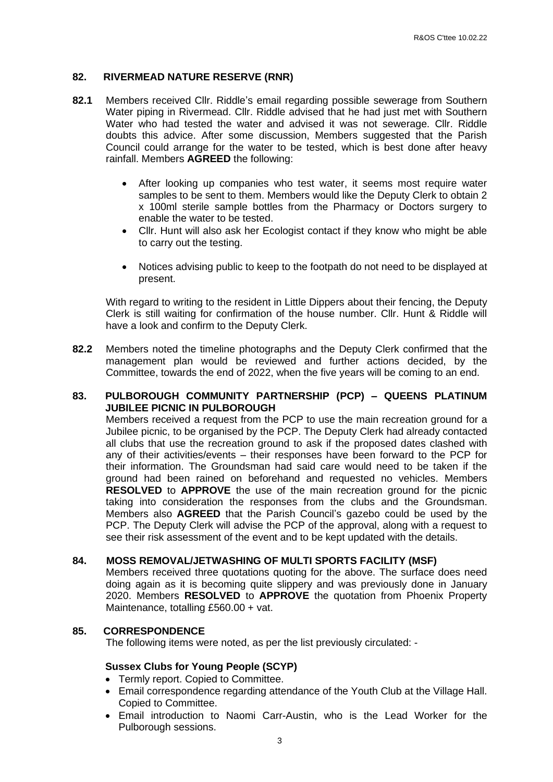# **82. RIVERMEAD NATURE RESERVE (RNR)**

- **82.1** Members received Cllr. Riddle's email regarding possible sewerage from Southern Water piping in Rivermead. Cllr. Riddle advised that he had just met with Southern Water who had tested the water and advised it was not sewerage. Cllr. Riddle doubts this advice. After some discussion, Members suggested that the Parish Council could arrange for the water to be tested, which is best done after heavy rainfall. Members **AGREED** the following:
	- After looking up companies who test water, it seems most require water samples to be sent to them. Members would like the Deputy Clerk to obtain 2 x 100ml sterile sample bottles from the Pharmacy or Doctors surgery to enable the water to be tested.
	- Cllr. Hunt will also ask her Ecologist contact if they know who might be able to carry out the testing.
	- Notices advising public to keep to the footpath do not need to be displayed at present.

With regard to writing to the resident in Little Dippers about their fencing, the Deputy Clerk is still waiting for confirmation of the house number. Cllr. Hunt & Riddle will have a look and confirm to the Deputy Clerk.

**82.2** Members noted the timeline photographs and the Deputy Clerk confirmed that the management plan would be reviewed and further actions decided, by the Committee, towards the end of 2022, when the five years will be coming to an end.

### **83. PULBOROUGH COMMUNITY PARTNERSHIP (PCP) – QUEENS PLATINUM JUBILEE PICNIC IN PULBOROUGH**

Members received a request from the PCP to use the main recreation ground for a Jubilee picnic, to be organised by the PCP. The Deputy Clerk had already contacted all clubs that use the recreation ground to ask if the proposed dates clashed with any of their activities/events – their responses have been forward to the PCP for their information. The Groundsman had said care would need to be taken if the ground had been rained on beforehand and requested no vehicles. Members **RESOLVED** to **APPROVE** the use of the main recreation ground for the picnic taking into consideration the responses from the clubs and the Groundsman. Members also **AGREED** that the Parish Council's gazebo could be used by the PCP. The Deputy Clerk will advise the PCP of the approval, along with a request to see their risk assessment of the event and to be kept updated with the details.

# **84. MOSS REMOVAL/JETWASHING OF MULTI SPORTS FACILITY (MSF)**

Members received three quotations quoting for the above. The surface does need doing again as it is becoming quite slippery and was previously done in January 2020. Members **RESOLVED** to **APPROVE** the quotation from Phoenix Property Maintenance, totalling £560.00 + vat.

### **85. CORRESPONDENCE**

The following items were noted, as per the list previously circulated: -

### **Sussex Clubs for Young People (SCYP)**

- Termly report. Copied to Committee.
- Email correspondence regarding attendance of the Youth Club at the Village Hall. Copied to Committee.
- Email introduction to Naomi Carr-Austin, who is the Lead Worker for the Pulborough sessions.